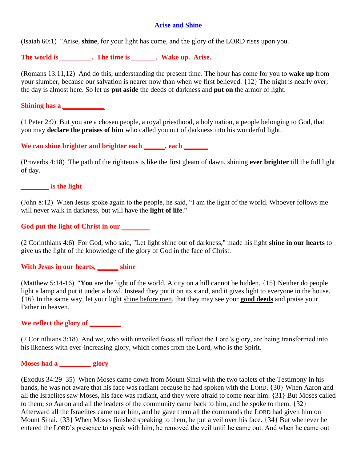### **Arise and Shine**

(Isaiah 60:1) "Arise, **shine**, for your light has come, and the glory of the LORD rises upon you.

**The world is** *\_\_\_\_\_\_\_\_\_***. The time is** *\_\_\_\_\_\_\_***. Wake up. Arise.**

(Romans 13:11,12) And do this, understanding the present time. The hour has come for you to **wake up** from your slumber, because our salvation is nearer now than when we first believed. {12} The night is nearly over; the day is almost here. So let us **put aside** the deeds of darkness and **put on** the armor of light.

**Shining has a** *\_\_\_\_\_\_\_\_\_\_\_\_*

(1 Peter 2:9) But you are a chosen people, a royal priesthood, a holy nation, a people belonging to God, that you may **declare the praises of him** who called you out of darkness into his wonderful light.

**We can shine brighter and brighter each** *\_\_\_\_\_\_***, each** *\_\_\_\_\_\_\_*

(Proverbs 4:18) The path of the righteous is like the first gleam of dawn, shining **ever brighter** till the full light of day.

*\_\_\_\_\_\_\_\_* **is the light**

(John 8:12) When Jesus spoke again to the people, he said, "I am the light of the world. Whoever follows me will never walk in darkness, but will have the **light of life**."

### **God put the light of Christ in our** *\_\_\_\_\_\_\_\_*

(2 Corinthians 4:6) For God, who said, "Let light shine out of darkness," made his light **shine in our hearts** to give us the light of the knowledge of the glory of God in the face of Christ.

**With Jesus in our hearts,** *\_\_\_\_\_\_* **shine**

(Matthew 5:14-16) "**You** are the light of the world. A city on a hill cannot be hidden. {15} Neither do people light a lamp and put it under a bowl. Instead they put it on its stand, and it gives light to everyone in the house. {16} In the same way, let your light shine before men, that they may see your **good deeds** and praise your Father in heaven.

## **We reflect the glory of** *\_\_\_\_\_\_\_\_\_*

(2 Corinthians 3:18) And we, who with unveiled faces all reflect the Lord's glory, are being transformed into his likeness with ever-increasing glory, which comes from the Lord, who is the Spirit.

# **Moses had a** *\_\_\_\_\_\_\_\_\_* **glory**

(Exodus 34:29–35) When Moses came down from Mount Sinai with the two tablets of the Testimony in his hands, he was not aware that his face was radiant because he had spoken with the LORD. {30} When Aaron and all the Israelites saw Moses, his face was radiant, and they were afraid to come near him. {31} But Moses called to them; so Aaron and all the leaders of the community came back to him, and he spoke to them. {32} Afterward all the Israelites came near him, and he gave them all the commands the LORD had given him on Mount Sinai. {33} When Moses finished speaking to them, he put a veil over his face. {34} But whenever he entered the LORD's presence to speak with him, he removed the veil until he came out. And when he came out